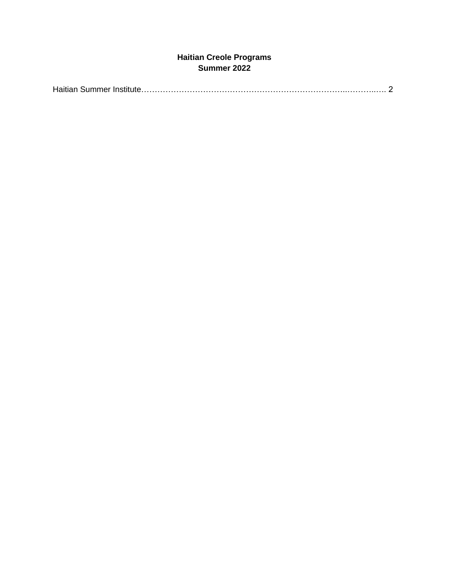# **Haitian Creole Programs Summer 2022**

|--|--|--|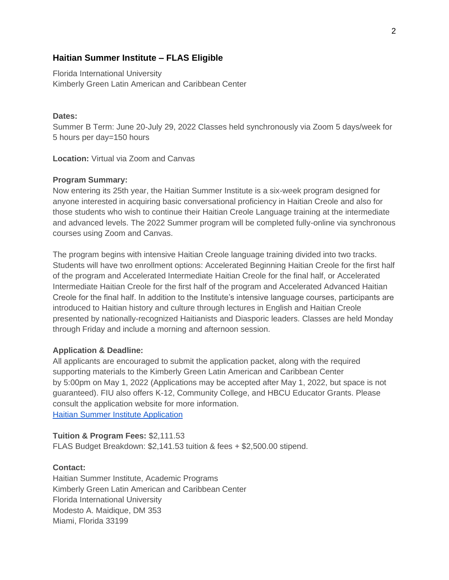## **Haitian Summer Institute – FLAS Eligible**

Florida International University Kimberly Green Latin American and Caribbean Center

### **Dates:**

Summer B Term: June 20-July 29, 2022 Classes held synchronously via Zoom 5 days/week for 5 hours per day=150 hours

**Location:** Virtual via Zoom and Canvas

#### **Program Summary:**

Now entering its 25th year, the Haitian Summer Institute is a six-week program designed for anyone interested in acquiring basic conversational proficiency in Haitian Creole and also for those students who wish to continue their Haitian Creole Language training at the intermediate and advanced levels. The 2022 Summer program will be completed fully-online via synchronous courses using Zoom and Canvas.

The program begins with intensive Haitian Creole language training divided into two tracks. Students will have two enrollment options: Accelerated Beginning Haitian Creole for the first half of the program and Accelerated Intermediate Haitian Creole for the final half, or Accelerated Intermediate Haitian Creole for the first half of the program and Accelerated Advanced Haitian Creole for the final half. In addition to the Institute's intensive language courses, participants are introduced to Haitian history and culture through lectures in English and Haitian Creole presented by nationally-recognized Haitianists and Diasporic leaders. Classes are held Monday through Friday and include a morning and afternoon session.

#### **Application & Deadline:**

All applicants are encouraged to submit the application packet, along with the required supporting materials to the Kimberly Green Latin American and Caribbean Center by 5:00pm on May 1, 2022 (Applications may be accepted after May 1, 2022, but space is not guaranteed). FIU also offers K-12, Community College, and HBCU Educator Grants. Please consult the application website for more information. [Haitian Summer Institute Application](https://nam04.safelinks.protection.outlook.com/?url=https%3A%2F%2Flacc.fiu.edu%2Facademics%2Fhaitian-summer-institute%2F&data=04%7C01%7Csofia.m.ludwig%40Vanderbilt.Edu%7Cbc9186ddf3e94f76334c08d9bf14c6a1%7Cba5a7f39e3be4ab3b45067fa80faecad%7C0%7C0%7C637750918208737526%7CUnknown%7CTWFpbGZsb3d8eyJWIjoiMC4wLjAwMDAiLCJQIjoiV2luMzIiLCJBTiI6Ik1haWwiLCJXVCI6Mn0%3D%7C3000&sdata=xaj%2B8OY01OxCbfL%2BF%2Biqeh0ZFyubQKeqo03R2j1od%2FI%3D&reserved=0)

### **Tuition & Program Fees:** \$2,111.53

FLAS Budget Breakdown: \$2,141.53 tuition & fees + \$2,500.00 stipend.

#### **Contact:**

Haitian Summer Institute, Academic Programs Kimberly Green Latin American and Caribbean Center Florida International University Modesto A. Maidique, DM 353 Miami, Florida 33199